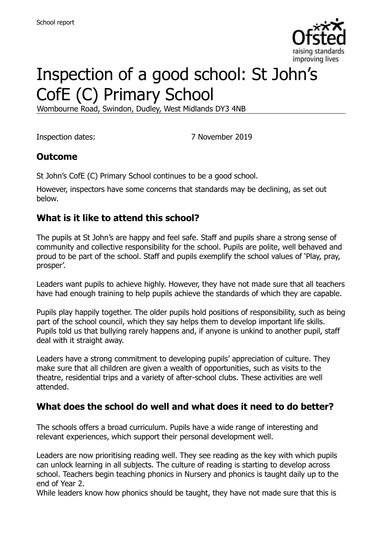

# Inspection of a good school: St John's CofE (C) Primary School

Wombourne Road, Swindon, Dudley, West Midlands DY3 4NB

Inspection dates: 7 November 2019

#### **Outcome**

St John's CofE (C) Primary School continues to be a good school.

However, inspectors have some concerns that standards may be declining, as set out below.

## **What is it like to attend this school?**

The pupils at St John's are happy and feel safe. Staff and pupils share a strong sense of community and collective responsibility for the school. Pupils are polite, well behaved and proud to be part of the school. Staff and pupils exemplify the school values of 'Play, pray, prosper'.

Leaders want pupils to achieve highly. However, they have not made sure that all teachers have had enough training to help pupils achieve the standards of which they are capable.

Pupils play happily together. The older pupils hold positions of responsibility, such as being part of the school council, which they say helps them to develop important life skills. Pupils told us that bullying rarely happens and, if anyone is unkind to another pupil, staff deal with it straight away.

Leaders have a strong commitment to developing pupils' appreciation of culture. They make sure that all children are given a wealth of opportunities, such as visits to the theatre, residential trips and a variety of after-school clubs. These activities are well attended.

#### **What does the school do well and what does it need to do better?**

The schools offers a broad curriculum. Pupils have a wide range of interesting and relevant experiences, which support their personal development well.

Leaders are now prioritising reading well. They see reading as the key with which pupils can unlock learning in all subjects. The culture of reading is starting to develop across school. Teachers begin teaching phonics in Nursery and phonics is taught daily up to the end of Year 2.

While leaders know how phonics should be taught, they have not made sure that this is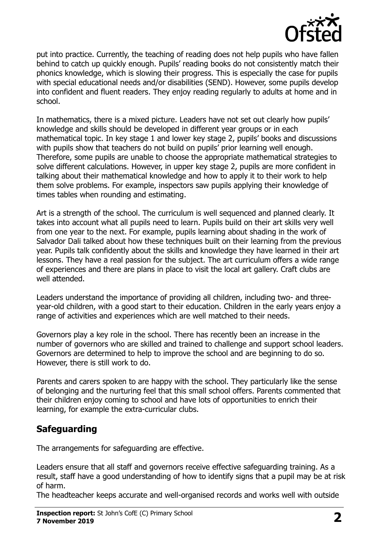

put into practice. Currently, the teaching of reading does not help pupils who have fallen behind to catch up quickly enough. Pupils' reading books do not consistently match their phonics knowledge, which is slowing their progress. This is especially the case for pupils with special educational needs and/or disabilities (SEND). However, some pupils develop into confident and fluent readers. They enjoy reading regularly to adults at home and in school.

In mathematics, there is a mixed picture. Leaders have not set out clearly how pupils' knowledge and skills should be developed in different year groups or in each mathematical topic. In key stage 1 and lower key stage 2, pupils' books and discussions with pupils show that teachers do not build on pupils' prior learning well enough. Therefore, some pupils are unable to choose the appropriate mathematical strategies to solve different calculations. However, in upper key stage 2, pupils are more confident in talking about their mathematical knowledge and how to apply it to their work to help them solve problems. For example, inspectors saw pupils applying their knowledge of times tables when rounding and estimating.

Art is a strength of the school. The curriculum is well sequenced and planned clearly. It takes into account what all pupils need to learn. Pupils build on their art skills very well from one year to the next. For example, pupils learning about shading in the work of Salvador Dali talked about how these techniques built on their learning from the previous year. Pupils talk confidently about the skills and knowledge they have learned in their art lessons. They have a real passion for the subject. The art curriculum offers a wide range of experiences and there are plans in place to visit the local art gallery. Craft clubs are well attended.

Leaders understand the importance of providing all children, including two- and threeyear-old children, with a good start to their education. Children in the early years enjoy a range of activities and experiences which are well matched to their needs.

Governors play a key role in the school. There has recently been an increase in the number of governors who are skilled and trained to challenge and support school leaders. Governors are determined to help to improve the school and are beginning to do so. However, there is still work to do.

Parents and carers spoken to are happy with the school. They particularly like the sense of belonging and the nurturing feel that this small school offers. Parents commented that their children enjoy coming to school and have lots of opportunities to enrich their learning, for example the extra-curricular clubs.

## **Safeguarding**

The arrangements for safeguarding are effective.

Leaders ensure that all staff and governors receive effective safeguarding training. As a result, staff have a good understanding of how to identify signs that a pupil may be at risk of harm.

The headteacher keeps accurate and well-organised records and works well with outside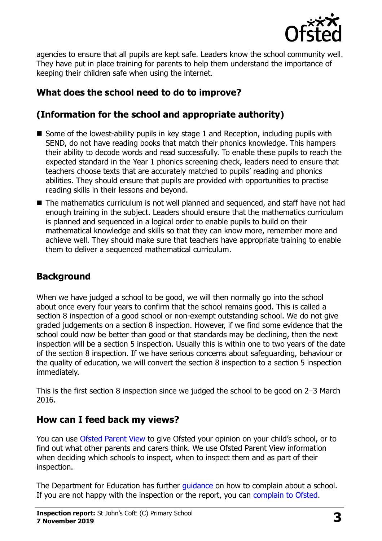

agencies to ensure that all pupils are kept safe. Leaders know the school community well. They have put in place training for parents to help them understand the importance of keeping their children safe when using the internet.

# **What does the school need to do to improve?**

# **(Information for the school and appropriate authority)**

- Some of the lowest-ability pupils in key stage 1 and Reception, including pupils with SEND, do not have reading books that match their phonics knowledge. This hampers their ability to decode words and read successfully. To enable these pupils to reach the expected standard in the Year 1 phonics screening check, leaders need to ensure that teachers choose texts that are accurately matched to pupils' reading and phonics abilities. They should ensure that pupils are provided with opportunities to practise reading skills in their lessons and beyond.
- The mathematics curriculum is not well planned and sequenced, and staff have not had enough training in the subject. Leaders should ensure that the mathematics curriculum is planned and sequenced in a logical order to enable pupils to build on their mathematical knowledge and skills so that they can know more, remember more and achieve well. They should make sure that teachers have appropriate training to enable them to deliver a sequenced mathematical curriculum.

# **Background**

When we have judged a school to be good, we will then normally go into the school about once every four years to confirm that the school remains good. This is called a section 8 inspection of a good school or non-exempt outstanding school. We do not give graded judgements on a section 8 inspection. However, if we find some evidence that the school could now be better than good or that standards may be declining, then the next inspection will be a section 5 inspection. Usually this is within one to two years of the date of the section 8 inspection. If we have serious concerns about safeguarding, behaviour or the quality of education, we will convert the section 8 inspection to a section 5 inspection immediately.

This is the first section 8 inspection since we judged the school to be good on 2–3 March 2016.

#### **How can I feed back my views?**

You can use [Ofsted Parent View](https://parentview.ofsted.gov.uk/) to give Ofsted your opinion on your child's school, or to find out what other parents and carers think. We use Ofsted Parent View information when deciding which schools to inspect, when to inspect them and as part of their inspection.

The Department for Education has further quidance on how to complain about a school. If you are not happy with the inspection or the report, you can [complain to Ofsted.](https://www.gov.uk/complain-ofsted-report)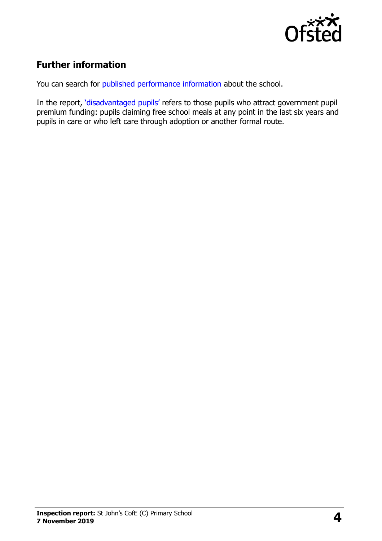

# **Further information**

You can search for [published performance information](http://www.compare-school-performance.service.gov.uk/) about the school.

In the report, '[disadvantaged pupils](http://www.gov.uk/guidance/pupil-premium-information-for-schools-and-alternative-provision-settings)' refers to those pupils who attract government pupil premium funding: pupils claiming free school meals at any point in the last six years and pupils in care or who left care through adoption or another formal route.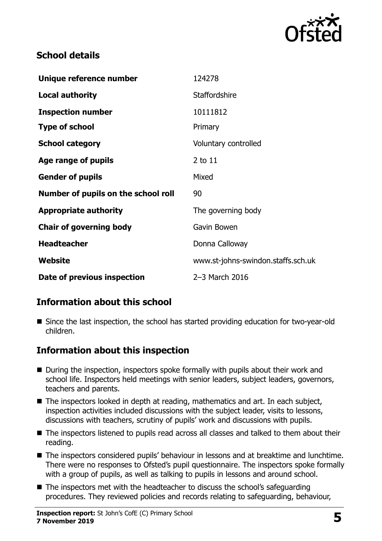

#### **School details**

| Unique reference number             | 124278                             |
|-------------------------------------|------------------------------------|
| <b>Local authority</b>              | <b>Staffordshire</b>               |
| <b>Inspection number</b>            | 10111812                           |
| <b>Type of school</b>               | Primary                            |
| <b>School category</b>              | Voluntary controlled               |
| Age range of pupils                 | 2 to 11                            |
| <b>Gender of pupils</b>             | Mixed                              |
| Number of pupils on the school roll | 90                                 |
| <b>Appropriate authority</b>        | The governing body                 |
| <b>Chair of governing body</b>      | Gavin Bowen                        |
| <b>Headteacher</b>                  | Donna Calloway                     |
| Website                             | www.st-johns-swindon.staffs.sch.uk |
| Date of previous inspection         | 2-3 March 2016                     |

## **Information about this school**

■ Since the last inspection, the school has started providing education for two-year-old children.

## **Information about this inspection**

- During the inspection, inspectors spoke formally with pupils about their work and school life. Inspectors held meetings with senior leaders, subject leaders, governors, teachers and parents.
- The inspectors looked in depth at reading, mathematics and art. In each subject, inspection activities included discussions with the subject leader, visits to lessons, discussions with teachers, scrutiny of pupils' work and discussions with pupils.
- The inspectors listened to pupils read across all classes and talked to them about their reading.
- The inspectors considered pupils' behaviour in lessons and at breaktime and lunchtime. There were no responses to Ofsted's pupil questionnaire. The inspectors spoke formally with a group of pupils, as well as talking to pupils in lessons and around school.
- The inspectors met with the headteacher to discuss the school's safeguarding procedures. They reviewed policies and records relating to safeguarding, behaviour,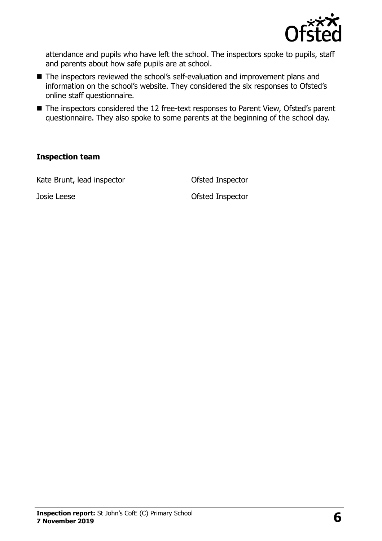

attendance and pupils who have left the school. The inspectors spoke to pupils, staff and parents about how safe pupils are at school.

- The inspectors reviewed the school's self-evaluation and improvement plans and information on the school's website. They considered the six responses to Ofsted's online staff questionnaire.
- The inspectors considered the 12 free-text responses to Parent View, Ofsted's parent questionnaire. They also spoke to some parents at the beginning of the school day.

#### **Inspection team**

Kate Brunt, lead inspector **CES COLLECT** Ofsted Inspector

Josie Leese Ofsted Inspector